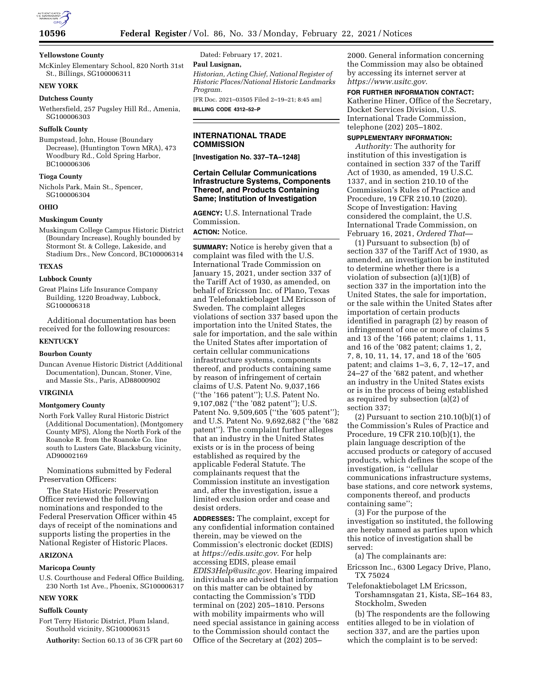

## **Yellowstone County**

McKinley Elementary School, 820 North 31st St., Billings, SG100006311

# **NEW YORK**

#### **Dutchess County**

Wethersfield, 257 Pugsley Hill Rd., Amenia, SG100006303

## **Suffolk County**

Bumpstead, John, House (Boundary Decrease), (Huntington Town MRA), 473 Woodbury Rd., Cold Spring Harbor, BC100006306

#### **Tioga County**

Nichols Park, Main St., Spencer, SG100006304

## **OHIO**

#### **Muskingum County**

Muskingum College Campus Historic District (Boundary Increase), Roughly bounded by Stormont St. & College, Lakeside, and Stadium Drs., New Concord, BC100006314

## **TEXAS**

## **Lubbock County**

Great Plains Life Insurance Company Building, 1220 Broadway, Lubbock, SG100006318

Additional documentation has been received for the following resources:

#### **KENTUCKY**

## **Bourbon County**

Duncan Avenue Historic District (Additional Documentation), Duncan, Stoner, Vine, and Massie Sts., Paris, AD88000902

## **VIRGINIA**

#### **Montgomery County**

North Fork Valley Rural Historic District (Additional Documentation), (Montgomery County MPS), Along the North Fork of the Roanoke R. from the Roanoke Co. line south to Lusters Gate, Blacksburg vicinity, AD90002169

Nominations submitted by Federal Preservation Officers:

The State Historic Preservation Officer reviewed the following nominations and responded to the Federal Preservation Officer within 45 days of receipt of the nominations and supports listing the properties in the National Register of Historic Places.

## **ARIZONA**

#### **Maricopa County**

U.S. Courthouse and Federal Office Building, 230 North 1st Ave., Phoenix, SG100006317

## **NEW YORK**

### **Suffolk County**

Fort Terry Historic District, Plum Island, Southold vicinity, SG100006315

**Authority:** Section 60.13 of 36 CFR part 60

Dated: February 17, 2021.

#### **Paul Lusignan,**

*Historian, Acting Chief, National Register of Historic Places/National Historic Landmarks Program.* 

[FR Doc. 2021–03505 Filed 2–19–21; 8:45 am] **BILLING CODE 4312–52–P** 

## **INTERNATIONAL TRADE COMMISSION**

**[Investigation No. 337–TA–1248]** 

## **Certain Cellular Communications Infrastructure Systems, Components Thereof, and Products Containing Same; Institution of Investigation**

**AGENCY:** U.S. International Trade Commission.

**ACTION:** Notice.

**SUMMARY:** Notice is hereby given that a complaint was filed with the U.S. International Trade Commission on January 15, 2021, under section 337 of the Tariff Act of 1930, as amended, on behalf of Ericsson Inc. of Plano, Texas and Telefonaktiebolaget LM Ericsson of Sweden. The complaint alleges violations of section 337 based upon the importation into the United States, the sale for importation, and the sale within the United States after importation of certain cellular communications infrastructure systems, components thereof, and products containing same by reason of infringement of certain claims of U.S. Patent No. 9,037,166 (''the '166 patent''); U.S. Patent No. 9,107,082 (''the '082 patent''); U.S. Patent No. 9,509,605 ("the '605 patent"); and U.S. Patent No. 9,692,682 (''the '682 patent''). The complaint further alleges that an industry in the United States exists or is in the process of being established as required by the applicable Federal Statute. The complainants request that the Commission institute an investigation and, after the investigation, issue a limited exclusion order and cease and desist orders.

**ADDRESSES:** The complaint, except for any confidential information contained therein, may be viewed on the Commission's electronic docket (EDIS) at *<https://edis.usitc.gov>*. For help accessing EDIS, please email *[EDIS3Help@usitc.gov](mailto:EDIS3Help@usitc.gov)*. Hearing impaired individuals are advised that information on this matter can be obtained by contacting the Commission's TDD terminal on (202) 205–1810. Persons with mobility impairments who will need special assistance in gaining access to the Commission should contact the Office of the Secretary at (202) 205–

2000. General information concerning the Commission may also be obtained by accessing its internet server at *<https://www.usitc.gov>*.

## **FOR FURTHER INFORMATION CONTACT:**

Katherine Hiner, Office of the Secretary, Docket Services Division, U.S. International Trade Commission, telephone (202) 205–1802.

## **SUPPLEMENTARY INFORMATION:**

*Authority:* The authority for institution of this investigation is contained in section 337 of the Tariff Act of 1930, as amended, 19 U.S.C. 1337, and in section 210.10 of the Commission's Rules of Practice and Procedure, 19 CFR 210.10 (2020). Scope of Investigation: Having considered the complaint, the U.S. International Trade Commission, on February 16, 2021, *Ordered That*—

(1) Pursuant to subsection (b) of section 337 of the Tariff Act of 1930, as amended, an investigation be instituted to determine whether there is a violation of subsection (a)(1)(B) of section 337 in the importation into the United States, the sale for importation, or the sale within the United States after importation of certain products identified in paragraph (2) by reason of infringement of one or more of claims 5 and 13 of the '166 patent; claims 1, 11, and 16 of the '082 patent; claims 1, 2, 7, 8, 10, 11, 14, 17, and 18 of the '605 patent; and claims 1–3, 6, 7, 12–17, and 24–27 of the '682 patent, and whether an industry in the United States exists or is in the process of being established as required by subsection (a)(2) of section 337;

(2) Pursuant to section  $210.10(b)(1)$  of the Commission's Rules of Practice and Procedure, 19 CFR 210.10(b)(1), the plain language description of the accused products or category of accused products, which defines the scope of the investigation, is ''cellular communications infrastructure systems, base stations, and core network systems, components thereof, and products containing same'';

(3) For the purpose of the investigation so instituted, the following are hereby named as parties upon which this notice of investigation shall be served:

(a) The complainants are:

- Ericsson Inc., 6300 Legacy Drive, Plano, TX 75024
- Telefonaktiebolaget LM Ericsson, Torshamnsgatan 21, Kista, SE–164 83, Stockholm, Sweden

(b) The respondents are the following entities alleged to be in violation of section 337, and are the parties upon which the complaint is to be served: